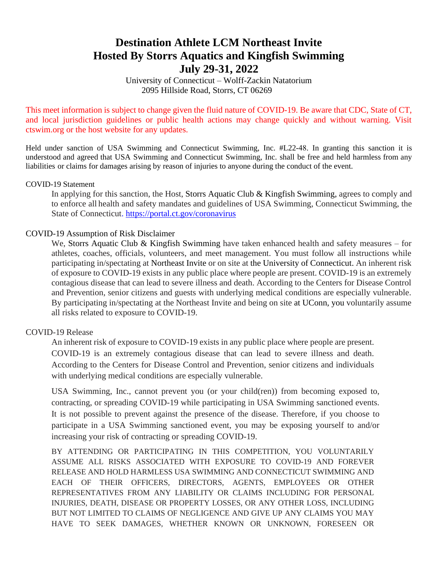# **Destination Athlete LCM Northeast Invite Hosted By Storrs Aquatics and Kingfish Swimming July 29-31, 2022**

University of Connecticut – Wolff-Zackin Natatorium 2095 Hillside Road, Storrs, CT 06269

This meet information is subject to change given the fluid nature of COVID-19. Be aware that CDC, State of CT, and local jurisdiction guidelines or public health actions may change quickly and without warning. Visit ctswim.org or the host website for any updates.

Held under sanction of USA Swimming and Connecticut Swimming, Inc. #L22-48. In granting this sanction it is understood and agreed that USA Swimming and Connecticut Swimming, Inc. shall be free and held harmless from any liabilities or claims for damages arising by reason of injuries to anyone during the conduct of the event.

#### COVID-19 Statement

In applying for this sanction, the Host, Storrs Aquatic Club & Kingfish Swimming, agrees to comply and to enforce all health and safety mandates and guidelines of USA Swimming, Connecticut Swimming, the State of Connecticut.<https://portal.ct.gov/coronavirus>

### COVID-19 Assumption of Risk Disclaimer

We, Storrs Aquatic Club & Kingfish Swimming have taken enhanced health and safety measures – for athletes, coaches, officials, volunteers, and meet management. You must follow all instructions while participating in/spectating at Northeast Invite or on site at the University of Connecticut. An inherent risk of exposure to COVID-19 exists in any public place where people are present. COVID-19 is an extremely contagious disease that can lead to severe illness and death. According to the Centers for Disease Control and Prevention, senior citizens and guests with underlying medical conditions are especially vulnerable. By participating in/spectating at the Northeast Invite and being on site at UConn, you voluntarily assume all risks related to exposure to COVID-19.

### COVID-19 Release

An inherent risk of exposure to COVID-19 exists in any public place where people are present. COVID-19 is an extremely contagious disease that can lead to severe illness and death. According to the Centers for Disease Control and Prevention, senior citizens and individuals with underlying medical conditions are especially vulnerable.

USA Swimming, Inc., cannot prevent you (or your child(ren)) from becoming exposed to, contracting, or spreading COVID-19 while participating in USA Swimming sanctioned events. It is not possible to prevent against the presence of the disease. Therefore, if you choose to participate in a USA Swimming sanctioned event, you may be exposing yourself to and/or increasing your risk of contracting or spreading COVID-19.

BY ATTENDING OR PARTICIPATING IN THIS COMPETITION, YOU VOLUNTARILY ASSUME ALL RISKS ASSOCIATED WITH EXPOSURE TO COVID-19 AND FOREVER RELEASE AND HOLD HARMLESS USA SWIMMING AND CONNECTICUT SWIMMING AND EACH OF THEIR OFFICERS, DIRECTORS, AGENTS, EMPLOYEES OR OTHER REPRESENTATIVES FROM ANY LIABILITY OR CLAIMS INCLUDING FOR PERSONAL INJURIES, DEATH, DISEASE OR PROPERTY LOSSES, OR ANY OTHER LOSS, INCLUDING BUT NOT LIMITED TO CLAIMS OF NEGLIGENCE AND GIVE UP ANY CLAIMS YOU MAY HAVE TO SEEK DAMAGES, WHETHER KNOWN OR UNKNOWN, FORESEEN OR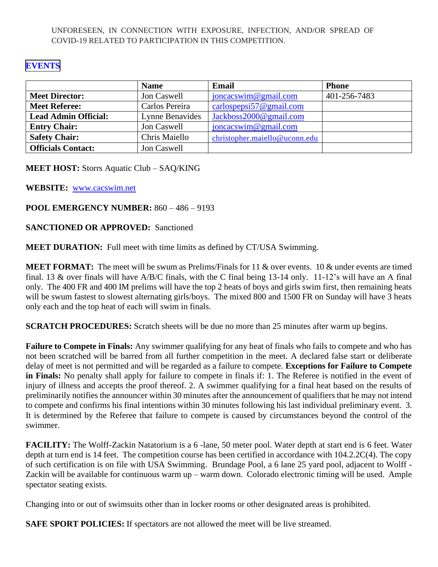UNFORESEEN, IN CONNECTION WITH EXPOSURE, INFECTION, AND/OR SPREAD OF COVID-19 RELATED TO PARTICIPATION IN THIS COMPETITION.

## **[EVENTS](#page-7-0)**

|                             | <b>Name</b>     | Email                         | <b>Phone</b> |
|-----------------------------|-----------------|-------------------------------|--------------|
| <b>Meet Director:</b>       | Jon Caswell     | $j$ oncacswim@gmail.com       | 401-256-7483 |
| <b>Meet Referee:</b>        | Carlos Pereira  | carlospepsi57@gmail.com       |              |
| <b>Lead Admin Official:</b> | Lynne Benavides | Jackboss2000@gmail.com        |              |
| <b>Entry Chair:</b>         | Jon Caswell     | $j$ oncacswim@gmail.com       |              |
| <b>Safety Chair:</b>        | Chris Maiello   | christopher.maiello@uconn.edu |              |
| <b>Officials Contact:</b>   | Jon Caswell     |                               |              |

**MEET HOST:** Storrs Aquatic Club – SAQ/KING

**WEBSITE:** [www.cacswim.net](http://www.cacswim.net/)

## **POOL EMERGENCY NUMBER:** 860 – 486 – 9193

### **SANCTIONED OR APPROVED:** Sanctioned

**MEET DURATION:** Full meet with time limits as defined by CT/USA Swimming.

**MEET FORMAT:** The meet will be swum as Prelims/Finals for 11 & over events. 10 & under events are timed final. 13 & over finals will have A/B/C finals, with the C final being 13-14 only. 11-12's will have an A final only. The 400 FR and 400 IM prelims will have the top 2 heats of boys and girls swim first, then remaining heats will be swum fastest to slowest alternating girls/boys. The mixed 800 and 1500 FR on Sunday will have 3 heats only each and the top heat of each will swim in finals.

**SCRATCH PROCEDURES:** Scratch sheets will be due no more than 25 minutes after warm up begins.

**Failure to Compete in Finals:** Any swimmer qualifying for any heat of finals who fails to compete and who has not been scratched will be barred from all further competition in the meet. A declared false start or deliberate delay of meet is not permitted and will be regarded as a failure to compete. **Exceptions for Failure to Compete in Finals:** No penalty shall apply for failure to compete in finals if: 1. The Referee is notified in the event of injury of illness and accepts the proof thereof. 2. A swimmer qualifying for a final heat based on the results of preliminarily notifies the announcer within 30 minutes after the announcement of qualifiers that he may not intend to compete and confirms his final intentions within 30 minutes following his last individual preliminary event. 3. It is determined by the Referee that failure to compete is caused by circumstances beyond the control of the swimmer.

**FACILITY:** The Wolff-Zackin Natatorium is a 6 -lane, 50 meter pool. Water depth at start end is 6 feet. Water depth at turn end is 14 feet. The competition course has been certified in accordance with  $104.2.2C(4)$ . The copy of such certification is on file with USA Swimming. Brundage Pool, a 6 lane 25 yard pool, adjacent to Wolff - Zackin will be available for continuous warm up – warm down. Colorado electronic timing will be used. Ample spectator seating exists.

Changing into or out of swimsuits other than in locker rooms or other designated areas is prohibited.

**SAFE SPORT POLICIES:** If spectators are not allowed the meet will be live streamed.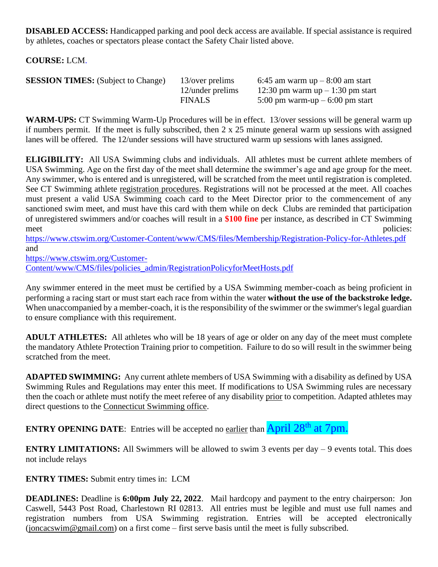**DISABLED ACCESS:** Handicapped parking and pool deck access are available. If special assistance is required by athletes, coaches or spectators please contact the Safety Chair listed above.

**COURSE:** LCM.

| <b>SESSION TIMES:</b> (Subject to Change) | 13/over prelims  | 6:45 am warm $up-8:00$ am start   |
|-------------------------------------------|------------------|-----------------------------------|
|                                           | 12/under prelims | 12:30 pm warm $up-1:30$ pm start  |
|                                           | <b>FINALS</b>    | 5:00 pm warm-up $-$ 6:00 pm start |

**WARM-UPS:** CT Swimming Warm-Up Procedures will be in effect. 13/over sessions will be general warm up if numbers permit. If the meet is fully subscribed, then 2 x 25 minute general warm up sessions with assigned lanes will be offered. The 12/under sessions will have structured warm up sessions with lanes assigned.

**ELIGIBILITY:** All USA Swimming clubs and individuals. All athletes must be current athlete members of USA Swimming. Age on the first day of the meet shall determine the swimmer's age and age group for the meet. Any swimmer, who is entered and is unregistered, will be scratched from the meet until registration is completed. See CT Swimming athlete [registration procedures.](https://www.ctswim.org/Membership/Athletes/) Registrations will not be processed at the meet. All coaches must present a valid USA Swimming coach card to the Meet Director prior to the commencement of any sanctioned swim meet, and must have this card with them while on deck Clubs are reminded that participation of unregistered swimmers and/or coaches will result in a **\$100 fine** per instance, as described in CT Swimming meet policies:

<https://www.ctswim.org/Customer-Content/www/CMS/files/Membership/Registration-Policy-for-Athletes.pdf> and

[https://www.ctswim.org/Customer-](https://www.ctswim.org/Customer-Content/www/CMS/files/policies_admin/RegistrationPolicyforMeetHosts.pdf)

[Content/www/CMS/files/policies\\_admin/RegistrationPolicyforMeetHosts.pdf](https://www.ctswim.org/Customer-Content/www/CMS/files/policies_admin/RegistrationPolicyforMeetHosts.pdf)

Any swimmer entered in the meet must be certified by a USA Swimming member-coach as being proficient in performing a racing start or must start each race from within the water **without the use of the backstroke ledge.**  When unaccompanied by a member-coach, it is the responsibility of the swimmer or the swimmer's legal guardian to ensure compliance with this requirement.

**ADULT ATHLETES:** All athletes who will be 18 years of age or older on any day of the meet must complete the mandatory Athlete Protection Training prior to competition. Failure to do so will result in the swimmer being scratched from the meet.

**ADAPTED SWIMMING:** Any current athlete members of USA Swimming with a disability as defined by USA Swimming Rules and Regulations may enter this meet. If modifications to USA Swimming rules are necessary then the coach or athlete must notify the meet referee of any disability prior to competition. Adapted athletes may direct questions to the [Connecticut Swimming office.](mailto:office@ctswim.org)

**ENTRY OPENING DATE:** Entries will be accepted no earlier than **April 28<sup>th</sup> at 7pm.** 

**ENTRY LIMITATIONS:** All Swimmers will be allowed to swim 3 events per day – 9 events total. This does not include relays

**ENTRY TIMES:** Submit entry times in: LCM

**DEADLINES:** Deadline is **6:00pm July 22, 2022**. Mail hardcopy and payment to the entry chairperson: Jon Caswell, 5443 Post Road, Charlestown RI 02813. All entries must be legible and must use full names and registration numbers from USA Swimming registration. Entries will be accepted electronically [\(joncacswim@gmail.com\)](mailto:joncacswim@gmail.com) on a first come – first serve basis until the meet is fully subscribed.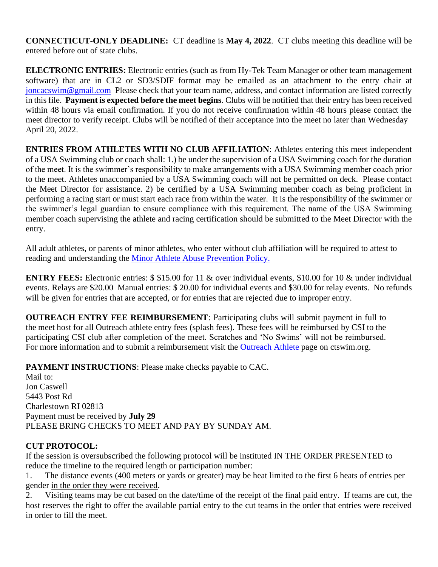**CONNECTICUT-ONLY DEADLINE:** CT deadline is **May 4, 2022**. CT clubs meeting this deadline will be entered before out of state clubs.

**ELECTRONIC ENTRIES:** Electronic entries (such as from Hy-Tek Team Manager or other team management software) that are in CL2 or SD3/SDIF format may be emailed as an attachment to the entry chair at [joncacswim@gmail.com](mailto:joncacswim@gmail.com) Please check that your team name, address, and contact information are listed correctly in this file. **Payment is expected before the meet begins**. Clubs will be notified that their entry has been received within 48 hours via email confirmation. If you do not receive confirmation within 48 hours please contact the meet director to verify receipt. Clubs will be notified of their acceptance into the meet no later than Wednesday April 20, 2022.

**ENTRIES FROM ATHLETES WITH NO CLUB AFFILIATION**: Athletes entering this meet independent of a USA Swimming club or coach shall: 1.) be under the supervision of a USA Swimming coach for the duration of the meet. It is the swimmer's responsibility to make arrangements with a USA Swimming member coach prior to the meet. Athletes unaccompanied by a USA Swimming coach will not be permitted on deck. Please contact the Meet Director for assistance. 2) be certified by a USA Swimming member coach as being proficient in performing a racing start or must start each race from within the water. It is the responsibility of the swimmer or the swimmer's legal guardian to ensure compliance with this requirement. The name of the USA Swimming member coach supervising the athlete and racing certification should be submitted to the Meet Director with the entry.

All adult athletes, or parents of minor athletes, who enter without club affiliation will be required to attest to reading and understanding the [Minor Athlete Abuse Prevention Policy.](https://www.usaswimming.org/utility/landing-pages/minor-athlete-abuse-prevention-policy)

**ENTRY FEES:** Electronic entries: \$ \$15.00 for 11 & over individual events, \$10.00 for 10 & under individual events. Relays are \$20.00 Manual entries: \$ 20.00 for individual events and \$30.00 for relay events. No refunds will be given for entries that are accepted, or for entries that are rejected due to improper entry.

**OUTREACH ENTRY FEE REIMBURSEMENT**: Participating clubs will submit payment in full to the meet host for all Outreach athlete entry fees (splash fees). These fees will be reimbursed by CSI to the participating CSI club after completion of the meet. Scratches and 'No Swims' will not be reimbursed. For more information and to submit a reimbursement visit the [Outreach Athlete](https://www.ctswim.org/Membership/Athlete-Outreach/) page on ctswim.org.

**PAYMENT INSTRUCTIONS**: Please make checks payable to CAC.

Mail to: Jon Caswell 5443 Post Rd Charlestown RI 02813 Payment must be received by **July 29** PLEASE BRING CHECKS TO MEET AND PAY BY SUNDAY AM.

# **CUT PROTOCOL:**

If the session is oversubscribed the following protocol will be instituted IN THE ORDER PRESENTED to reduce the timeline to the required length or participation number:

1. The distance events (400 meters or yards or greater) may be heat limited to the first 6 heats of entries per gender in the order they were received.

2. Visiting teams may be cut based on the date/time of the receipt of the final paid entry. If teams are cut, the host reserves the right to offer the available partial entry to the cut teams in the order that entries were received in order to fill the meet.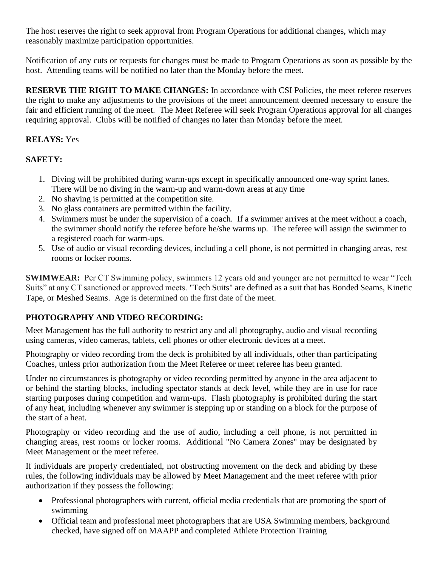The host reserves the right to seek approval from Program Operations for additional changes, which may reasonably maximize participation opportunities.

Notification of any cuts or requests for changes must be made to Program Operations as soon as possible by the host. Attending teams will be notified no later than the Monday before the meet.

**RESERVE THE RIGHT TO MAKE CHANGES:** In accordance with CSI Policies, the meet referee reserves the right to make any adjustments to the provisions of the meet announcement deemed necessary to ensure the fair and efficient running of the meet. The Meet Referee will seek Program Operations approval for all changes requiring approval. Clubs will be notified of changes no later than Monday before the meet.

# **RELAYS:** Yes

# **SAFETY:**

- 1. Diving will be prohibited during warm-ups except in specifically announced one-way sprint lanes. There will be no diving in the warm-up and warm-down areas at any time
- 2. No shaving is permitted at the competition site.
- 3. No glass containers are permitted within the facility.
- 4. Swimmers must be under the supervision of a coach. If a swimmer arrives at the meet without a coach, the swimmer should notify the referee before he/she warms up. The referee will assign the swimmer to a registered coach for warm-ups.
- 5. Use of audio or visual recording devices, including a cell phone, is not permitted in changing areas, rest rooms or locker rooms.

**SWIMWEAR:** Per CT Swimming policy, swimmers 12 years old and younger are not permitted to wear "Tech" Suits" at any CT sanctioned or approved meets. "Tech Suits" are defined as a suit that has Bonded Seams, Kinetic Tape, or Meshed Seams. Age is determined on the first date of the meet.

# **PHOTOGRAPHY AND VIDEO RECORDING:**

Meet Management has the full authority to restrict any and all photography, audio and visual recording using cameras, video cameras, tablets, cell phones or other electronic devices at a meet.

Photography or video recording from the deck is prohibited by all individuals, other than participating Coaches, unless prior authorization from the Meet Referee or meet referee has been granted.

Under no circumstances is photography or video recording permitted by anyone in the area adjacent to or behind the starting blocks, including spectator stands at deck level, while they are in use for race starting purposes during competition and warm-ups. Flash photography is prohibited during the start of any heat, including whenever any swimmer is stepping up or standing on a block for the purpose of the start of a heat.

Photography or video recording and the use of audio, including a cell phone, is not permitted in changing areas, rest rooms or locker rooms. Additional "No Camera Zones" may be designated by Meet Management or the meet referee.

If individuals are properly credentialed, not obstructing movement on the deck and abiding by these rules, the following individuals may be allowed by Meet Management and the meet referee with prior authorization if they possess the following:

- Professional photographers with current, official media credentials that are promoting the sport of swimming
- Official team and professional meet photographers that are USA Swimming members, background checked, have signed off on MAAPP and completed Athlete Protection Training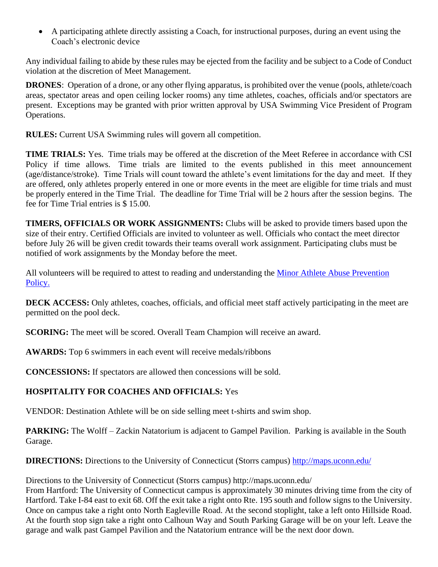• A participating athlete directly assisting a Coach, for instructional purposes, during an event using the Coach's electronic device

Any individual failing to abide by these rules may be ejected from the facility and be subject to a Code of Conduct violation at the discretion of Meet Management.

**DRONES**: Operation of a drone, or any other flying apparatus, is prohibited over the venue (pools, athlete/coach areas, spectator areas and open ceiling locker rooms) any time athletes, coaches, officials and/or spectators are present. Exceptions may be granted with prior written approval by USA Swimming Vice President of Program Operations.

**RULES:** Current USA Swimming rules will govern all competition.

**TIME TRIALS:** Yes. Time trials may be offered at the discretion of the Meet Referee in accordance with CSI Policy if time allows. Time trials are limited to the events published in this meet announcement (age/distance/stroke). Time Trials will count toward the athlete's event limitations for the day and meet. If they are offered, only athletes properly entered in one or more events in the meet are eligible for time trials and must be properly entered in the Time Trial. The deadline for Time Trial will be 2 hours after the session begins. The fee for Time Trial entries is \$ 15.00.

**TIMERS, OFFICIALS OR WORK ASSIGNMENTS:** Clubs will be asked to provide timers based upon the size of their entry. Certified Officials are invited to volunteer as well. Officials who contact the meet director before July 26 will be given credit towards their teams overall work assignment. Participating clubs must be notified of work assignments by the Monday before the meet.

All volunteers will be required to attest to reading and understanding the [Minor Athlete Abuse Prevention](https://www.usaswimming.org/utility/landing-pages/minor-athlete-abuse-prevention-policy)  [Policy.](https://www.usaswimming.org/utility/landing-pages/minor-athlete-abuse-prevention-policy)

**DECK ACCESS:** Only athletes, coaches, officials, and official meet staff actively participating in the meet are permitted on the pool deck.

**SCORING:** The meet will be scored. Overall Team Champion will receive an award.

**AWARDS:** Top 6 swimmers in each event will receive medals/ribbons

**CONCESSIONS:** If spectators are allowed then concessions will be sold.

# **HOSPITALITY FOR COACHES AND OFFICIALS:** Yes

VENDOR: Destination Athlete will be on side selling meet t-shirts and swim shop.

**PARKING:** The Wolff – Zackin Natatorium is adjacent to Gampel Pavilion. Parking is available in the South Garage.

**DIRECTIONS:** Directions to the University of Connecticut (Storrs campus)<http://maps.uconn.edu/>

Directions to the University of Connecticut (Storrs campus) http://maps.uconn.edu/

From Hartford: The University of Connecticut campus is approximately 30 minutes driving time from the city of Hartford. Take I-84 east to exit 68. Off the exit take a right onto Rte. 195 south and follow signs to the University. Once on campus take a right onto North Eagleville Road. At the second stoplight, take a left onto Hillside Road. At the fourth stop sign take a right onto Calhoun Way and South Parking Garage will be on your left. Leave the garage and walk past Gampel Pavilion and the Natatorium entrance will be the next door down.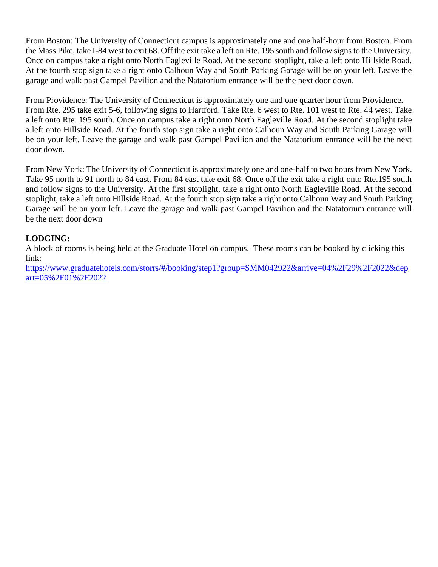From Boston: The University of Connecticut campus is approximately one and one half-hour from Boston. From the Mass Pike, take I-84 west to exit 68. Off the exit take a left on Rte. 195 south and follow signs to the University. Once on campus take a right onto North Eagleville Road. At the second stoplight, take a left onto Hillside Road. At the fourth stop sign take a right onto Calhoun Way and South Parking Garage will be on your left. Leave the garage and walk past Gampel Pavilion and the Natatorium entrance will be the next door down.

From Providence: The University of Connecticut is approximately one and one quarter hour from Providence. From Rte. 295 take exit 5-6, following signs to Hartford. Take Rte. 6 west to Rte. 101 west to Rte. 44 west. Take a left onto Rte. 195 south. Once on campus take a right onto North Eagleville Road. At the second stoplight take a left onto Hillside Road. At the fourth stop sign take a right onto Calhoun Way and South Parking Garage will be on your left. Leave the garage and walk past Gampel Pavilion and the Natatorium entrance will be the next door down.

From New York: The University of Connecticut is approximately one and one-half to two hours from New York. Take 95 north to 91 north to 84 east. From 84 east take exit 68. Once off the exit take a right onto Rte.195 south and follow signs to the University. At the first stoplight, take a right onto North Eagleville Road. At the second stoplight, take a left onto Hillside Road. At the fourth stop sign take a right onto Calhoun Way and South Parking Garage will be on your left. Leave the garage and walk past Gampel Pavilion and the Natatorium entrance will be the next door down

# **LODGING:**

A block of rooms is being held at the Graduate Hotel on campus. These rooms can be booked by clicking this link:

[https://www.graduatehotels.com/storrs/#/booking/step1?group=SMM042922&arrive=04%2F29%2F2022&dep](https://www.graduatehotels.com/storrs/#/booking/step1?group=SMM042922&arrive=04%2F29%2F2022&depart=05%2F01%2F2022) [art=05%2F01%2F2022](https://www.graduatehotels.com/storrs/#/booking/step1?group=SMM042922&arrive=04%2F29%2F2022&depart=05%2F01%2F2022)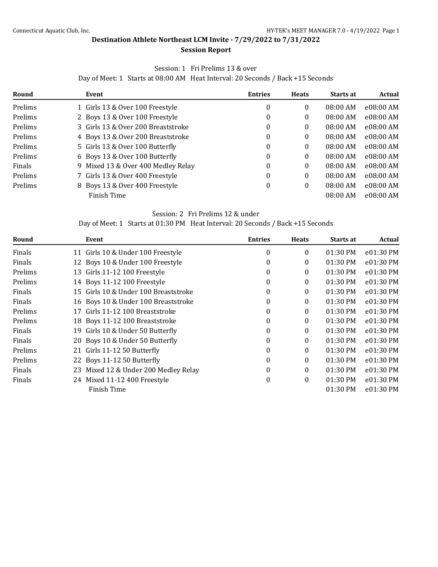#### **Session Report**

### Session: 1 Fri Prelims 13 & over

Day of Meet: 1 Starts at 08:00 AM Heat Interval: 20 Seconds / Back +15 Seconds

<span id="page-7-0"></span>

| Round   | Event                              | <b>Entries</b> | <b>Heats</b> | <b>Starts at</b> | <b>Actual</b> |
|---------|------------------------------------|----------------|--------------|------------------|---------------|
| Prelims | 1 Girls 13 & Over 100 Freestyle    | 0              | 0            | $08:00$ AM       | e08:00 AM     |
| Prelims | 2 Boys 13 & Over 100 Freestyle     | 0              | 0            | $08:00$ AM       | e08:00 AM     |
| Prelims | 3 Girls 13 & Over 200 Breaststroke | 0              | 0            | $08:00$ AM       | e08:00 AM     |
| Prelims | 4 Boys 13 & Over 200 Breaststroke  | $\Omega$       | 0            | $08:00$ AM       | e08:00 AM     |
| Prelims | 5 Girls 13 & Over 100 Butterfly    | 0              | 0            | 08:00 AM         | e08:00 AM     |
| Prelims | 6 Boys 13 & Over 100 Butterfly     | 0              | 0            | 08:00 AM         | e08:00 AM     |
| Finals  | 9 Mixed 13 & Over 400 Medley Relay | 0              | 0            | 08:00 AM         | e08:00 AM     |
| Prelims | 7 Girls 13 & Over 400 Freestyle    | 0              | 0            | 08:00 AM         | e08:00 AM     |
| Prelims | 8 Boys 13 & Over 400 Freestyle     | 0              | 0            | 08:00 AM         | e08:00 AM     |
|         | Finish Time                        |                |              | 08:00 AM         | e08:00 AM     |

#### Session: 2 Fri Prelims 12 & under

Day of Meet: 1 Starts at 01:30 PM Heat Interval: 20 Seconds / Back +15 Seconds

| Round         | Event                               | <b>Entries</b> | <b>Heats</b> | Starts at  | Actual    |
|---------------|-------------------------------------|----------------|--------------|------------|-----------|
| Finals        | 11 Girls 10 & Under 100 Freestyle   | 0              | $\mathbf{0}$ | 01:30 PM   | e01:30 PM |
| Finals        | 12 Boys 10 & Under 100 Freestyle    | $\theta$       | $\mathbf{0}$ | 01:30 PM   | e01:30 PM |
| Prelims       | 13 Girls 11-12 100 Freestyle        | 0              | $\mathbf{0}$ | 01:30 PM   | e01:30 PM |
| Prelims       | 14 Boys 11-12 100 Freestyle         | $\theta$       | $\mathbf{0}$ | 01:30 PM   | e01:30 PM |
| Finals<br>15  | Girls 10 & Under 100 Breaststroke   | $\theta$       | $\Omega$     | $01:30$ PM | e01:30 PM |
| Finals        | 16 Boys 10 & Under 100 Breaststroke | $\theta$       | $\Omega$     | 01:30 PM   | e01:30 PM |
| Prelims<br>17 | Girls 11-12 100 Breaststroke        | $\theta$       | $\mathbf{0}$ | 01:30 PM   | e01:30 PM |
| Prelims       | 18 Boys 11-12 100 Breaststroke      | $\theta$       | $\mathbf{0}$ | 01:30 PM   | e01:30 PM |
| Finals<br>19  | Girls 10 & Under 50 Butterfly       | $\theta$       | 0            | $01:30$ PM | e01:30 PM |
| Finals        | 20 Boys 10 & Under 50 Butterfly     | $\theta$       | $\Omega$     | 01:30 PM   | e01:30 PM |
| Prelims       | 21 Girls 11-12 50 Butterfly         | $\theta$       | $\mathbf{0}$ | 01:30 PM   | e01:30 PM |
| Prelims       | 22 Boys 11-12 50 Butterfly          | $\theta$       | $\Omega$     | 01:30 PM   | e01:30 PM |
| Finals<br>23  | Mixed 12 & Under 200 Medley Relay   | $\theta$       | $\Omega$     | 01:30 PM   | e01:30 PM |
| Finals        | 24 Mixed 11-12 400 Freestyle        | 0              | $\mathbf{0}$ | 01:30 PM   | e01:30 PM |
|               | Finish Time                         |                |              | 01:30 PM   | e01:30 PM |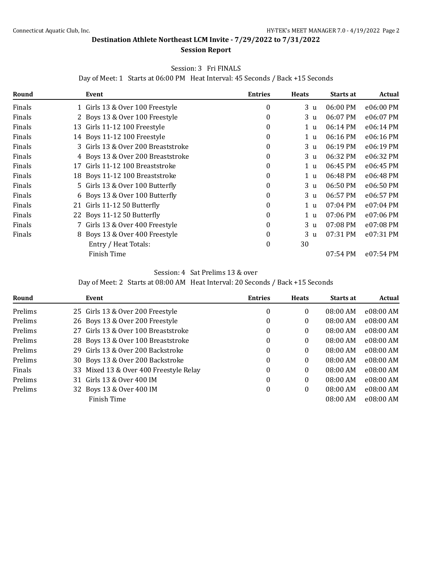#### **Session Report**

#### Session: 3 Fri FINALS

Day of Meet: 1 Starts at 06:00 PM Heat Interval: 45 Seconds / Back +15 Seconds

| Round  |    | Event                              | <b>Entries</b> | <b>Heats</b>   | Starts at | Actual    |
|--------|----|------------------------------------|----------------|----------------|-----------|-----------|
| Finals |    | 1 Girls 13 & Over 100 Freestyle    | 0              | 3 <sub>u</sub> | 06:00 PM  | e06:00 PM |
| Finals |    | 2 Boys 13 & Over 100 Freestyle     | $\theta$       | 3 u            | 06:07 PM  | e06:07 PM |
| Finals | 13 | Girls 11-12 100 Freestyle          | 0              | 1 u            | 06:14 PM  | e06:14 PM |
| Finals |    | 14 Boys 11-12 100 Freestyle        | 0              | 1 <sub>u</sub> | 06:16 PM  | e06:16 PM |
| Finals |    | 3 Girls 13 & Over 200 Breaststroke | 0              | 3 u            | 06:19 PM  | e06:19 PM |
| Finals |    | 4 Boys 13 & Over 200 Breaststroke  | 0              | 3 u            | 06:32 PM  | e06:32 PM |
| Finals | 17 | Girls 11-12 100 Breaststroke       | 0              | 1 <sub>u</sub> | 06:45 PM  | e06:45 PM |
| Finals |    | 18 Boys 11-12 100 Breaststroke     | 0              | 1 u            | 06:48 PM  | e06:48 PM |
| Finals |    | 5 Girls 13 & Over 100 Butterfly    | $\theta$       | 3 u            | 06:50 PM  | e06:50 PM |
| Finals |    | 6 Boys 13 & Over 100 Butterfly     | 0              | 3 u            | 06:57 PM  | e06:57 PM |
| Finals |    | 21 Girls 11-12 50 Butterfly        | 0              | 1 u            | 07:04 PM  | e07:04 PM |
| Finals |    | 22 Boys 11-12 50 Butterfly         | 0              | 1 <sub>u</sub> | 07:06 PM  | e07:06 PM |
| Finals |    | 7 Girls 13 & Over 400 Freestyle    | 0              | 3 <sub>u</sub> | 07:08 PM  | e07:08 PM |
| Finals |    | 8 Boys 13 & Over 400 Freestyle     | 0              | 3 u            | 07:31 PM  | e07:31 PM |
|        |    | Entry / Heat Totals:               | $\theta$       | 30             |           |           |
|        |    | Finish Time                        |                |                | 07:54 PM  | e07:54 PM |

Session: 4 Sat Prelims 13 & over

Day of Meet: 2 Starts at 08:00 AM Heat Interval: 20 Seconds / Back +15 Seconds

| Round   | Event                                  | <b>Entries</b>   | <b>Heats</b> | <b>Starts at</b> | Actual    |
|---------|----------------------------------------|------------------|--------------|------------------|-----------|
| Prelims | 25 Girls 13 & Over 200 Freestyle       | $\boldsymbol{0}$ | 0            | $08:00$ AM       | e08:00 AM |
| Prelims | 26 Boys 13 & Over 200 Freestyle        | 0                | 0            | $08:00$ AM       | e08:00 AM |
| Prelims | 27 Girls 13 & Over 100 Breaststroke    | $\Omega$         | 0            | $08:00$ AM       | e08:00 AM |
| Prelims | 28 Boys 13 & Over 100 Breaststroke     | $\Omega$         | 0            | 08:00 AM         | e08:00 AM |
| Prelims | 29 Girls 13 & Over 200 Backstroke      | $\boldsymbol{0}$ | 0            | $08:00$ AM       | e08:00 AM |
| Prelims | 30 Boys 13 & Over 200 Backstroke       | $\theta$         | 0            | 08:00 AM         | e08:00 AM |
| Finals  | 33 Mixed 13 & Over 400 Freestyle Relay | 0                | 0            | $08:00$ AM       | e08:00 AM |
| Prelims | 31 Girls 13 & Over 400 IM              | $\boldsymbol{0}$ | 0            | 08:00 AM         | e08:00 AM |
| Prelims | 32 Boys 13 & Over 400 IM               | $\theta$         | 0            | 08:00 AM         | e08:00 AM |
|         | Finish Time                            |                  |              | $08:00$ AM       | e08:00 AM |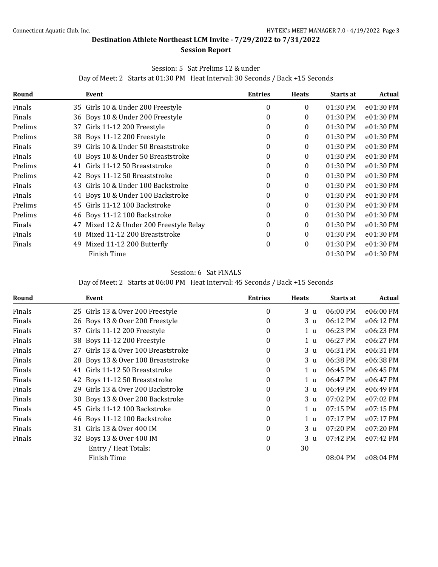#### **Session Report**

### Session: 5 Sat Prelims 12 & under

Day of Meet: 2 Starts at 01:30 PM Heat Interval: 30 Seconds / Back +15 Seconds

| Round   |     | Event                                | <b>Entries</b> | <b>Heats</b> | Starts at  | Actual    |
|---------|-----|--------------------------------------|----------------|--------------|------------|-----------|
| Finals  |     | 35 Girls 10 & Under 200 Freestyle    | 0              | 0            | 01:30 PM   | e01:30 PM |
| Finals  |     | 36 Boys 10 & Under 200 Freestyle     | 0              | 0            | 01:30 PM   | e01:30 PM |
| Prelims |     | 37 Girls 11-12 200 Freestyle         | 0              | 0            | 01:30 PM   | e01:30 PM |
| Prelims |     | 38 Boys 11-12 200 Freestyle          | 0              | 0            | 01:30 PM   | e01:30 PM |
| Finals  | 39  | Girls 10 & Under 50 Breaststroke     | $\theta$       | 0            | 01:30 PM   | e01:30 PM |
| Finals  | 40  | Boys 10 & Under 50 Breaststroke      | 0              | 0            | 01:30 PM   | e01:30 PM |
| Prelims | 41  | Girls 11-12 50 Breaststroke          | 0              | 0            | 01:30 PM   | e01:30 PM |
| Prelims |     | 42 Boys 11-12 50 Breaststroke        | 0              | 0            | 01:30 PM   | e01:30 PM |
| Finals  | 43. | Girls 10 & Under 100 Backstroke      | 0              | 0            | $01:30$ PM | e01:30 PM |
| Finals  |     | 44 Boys 10 & Under 100 Backstroke    | 0              | 0            | 01:30 PM   | e01:30 PM |
| Prelims | 45  | Girls 11-12 100 Backstroke           | 0              | 0            | 01:30 PM   | e01:30 PM |
| Prelims |     | 46 Boys 11-12 100 Backstroke         | 0              | 0            | 01:30 PM   | e01:30 PM |
| Finals  | 47  | Mixed 12 & Under 200 Freestyle Relay | 0              | 0            | 01:30 PM   | e01:30 PM |
| Finals  | 48  | Mixed 11-12 200 Breaststroke         | 0              | 0            | $01:30$ PM | e01:30 PM |
| Finals  | 49  | Mixed 11-12 200 Butterfly            | $\theta$       | 0            | 01:30 PM   | e01:30 PM |
|         |     | Finish Time                          |                |              | 01:30 PM   | e01:30 PM |

### Session: 6 Sat FINALS

Day of Meet: 2 Starts at 06:00 PM Heat Interval: 45 Seconds / Back +15 Seconds

| Round  |    | Event                              | <b>Entries</b>   | <b>Heats</b>   | Starts at | Actual    |
|--------|----|------------------------------------|------------------|----------------|-----------|-----------|
| Finals |    | 25 Girls 13 & Over 200 Freestyle   | $\boldsymbol{0}$ | 3 u            | 06:00 PM  | e06:00 PM |
| Finals |    | 26 Boys 13 & Over 200 Freestyle    | $\theta$         | 3 <sub>u</sub> | 06:12 PM  | e06:12 PM |
| Finals | 37 | Girls 11-12 200 Freestyle          | $\mathbf{0}$     | 1 <sub>u</sub> | 06:23 PM  | e06:23 PM |
| Finals |    | 38 Boys 11-12 200 Freestyle        | $\mathbf{0}$     | 1 u            | 06:27 PM  | e06:27 PM |
| Finals | 27 | Girls 13 & Over 100 Breaststroke   | 0                | 3 <sub>u</sub> | 06:31 PM  | e06:31 PM |
| Finals |    | 28 Boys 13 & Over 100 Breaststroke | $\mathbf{0}$     | 3 <sub>u</sub> | 06:38 PM  | e06:38 PM |
| Finals | 41 | Girls 11-12 50 Breaststroke        | $\mathbf{0}$     | 1 <sub>u</sub> | 06:45 PM  | e06:45 PM |
| Finals |    | 42 Boys 11-12 50 Breaststroke      | $\mathbf{0}$     | 1 <sub>u</sub> | 06:47 PM  | e06:47 PM |
| Finals | 29 | Girls 13 & Over 200 Backstroke     | $\mathbf{0}$     | 3 <sub>u</sub> | 06:49 PM  | e06:49 PM |
| Finals |    | 30 Boys 13 & Over 200 Backstroke   | $\mathbf{0}$     | 3 <sub>u</sub> | 07:02 PM  | e07:02 PM |
| Finals | 45 | Girls 11-12 100 Backstroke         | $\mathbf{0}$     | 1 <sub>u</sub> | 07:15 PM  | e07:15 PM |
| Finals |    | 46 Boys 11-12 100 Backstroke       | $\mathbf{0}$     | 1 <sub>u</sub> | 07:17 PM  | e07:17 PM |
| Finals | 31 | Girls 13 & Over 400 IM             | 0                | 3 <sub>u</sub> | 07:20 PM  | e07:20 PM |
| Finals |    | 32 Boys 13 & Over 400 IM           | $\mathbf{0}$     | 3 u            | 07:42 PM  | e07:42 PM |
|        |    | Entry / Heat Totals:               | $\boldsymbol{0}$ | 30             |           |           |
|        |    | Finish Time                        |                  |                | 08:04 PM  | e08:04 PM |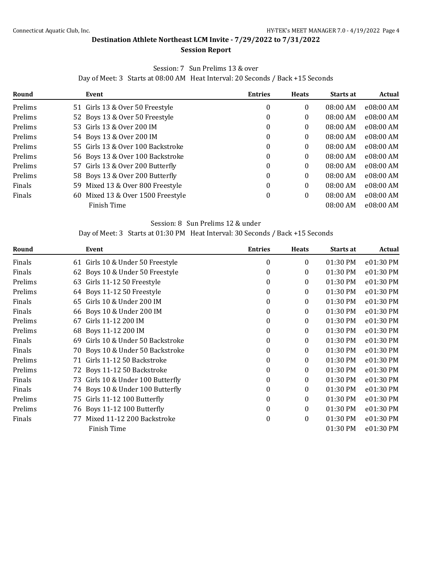#### **Session Report**

### Session: 7 Sun Prelims 13 & over

Day of Meet: 3 Starts at 08:00 AM Heat Interval: 20 Seconds / Back +15 Seconds

| Round   | Event                                | <b>Entries</b> | <b>Heats</b> | <b>Starts at</b> | Actual    |
|---------|--------------------------------------|----------------|--------------|------------------|-----------|
| Prelims | 51 Girls 13 & Over 50 Freestyle      | 0              | 0            | $08:00$ AM       | e08:00 AM |
| Prelims | 52 Boys 13 & Over 50 Freestyle       | 0              | 0            | $08:00$ AM       | e08:00 AM |
| Prelims | 53 Girls 13 & Over 200 IM            | 0              | 0            | 08:00 AM         | e08:00 AM |
| Prelims | 54 Boys 13 & Over 200 IM             | 0              | 0            | 08:00 AM         | e08:00 AM |
| Prelims | 55 Girls 13 & Over 100 Backstroke    | 0              | 0            | 08:00 AM         | e08:00 AM |
| Prelims | 56 Boys 13 & Over 100 Backstroke     | 0              | 0            | 08:00 AM         | e08:00 AM |
| Prelims | 57 Girls 13 & Over 200 Butterfly     | 0              | 0            | $08:00$ AM       | e08:00 AM |
| Prelims | 58 Boys 13 & Over 200 Butterfly      | 0              | 0            | 08:00 AM         | e08:00 AM |
| Finals  | Mixed 13 & Over 800 Freestyle<br>59  | 0              | 0            | 08:00 AM         | e08:00 AM |
| Finals  | Mixed 13 & Over 1500 Freestyle<br>60 | 0              | 0            | 08:00 AM         | e08:00 AM |
|         | Finish Time                          |                |              | 08:00 AM         | e08:00 AM |

#### Session: 8 Sun Prelims 12 & under

Day of Meet: 3 Starts at 01:30 PM Heat Interval: 30 Seconds / Back +15 Seconds

| Round   |    | Event                            | <b>Entries</b>   | <b>Heats</b>     | Starts at | Actual    |
|---------|----|----------------------------------|------------------|------------------|-----------|-----------|
| Finals  |    | 61 Girls 10 & Under 50 Freestyle | $\mathbf{0}$     | 0                | 01:30 PM  | e01:30 PM |
| Finals  | 62 | Boys 10 & Under 50 Freestyle     | $\mathbf{0}$     | 0                | 01:30 PM  | e01:30 PM |
| Prelims | 63 | Girls 11-12 50 Freestyle         | $\mathbf{0}$     | 0                | 01:30 PM  | e01:30 PM |
| Prelims |    | 64 Boys 11-12 50 Freestyle       | $\boldsymbol{0}$ | $\boldsymbol{0}$ | 01:30 PM  | e01:30 PM |
| Finals  | 65 | Girls 10 & Under 200 IM          | $\mathbf{0}$     | 0                | 01:30 PM  | e01:30 PM |
| Finals  | 66 | Boys 10 & Under 200 IM           | 0                | 0                | 01:30 PM  | e01:30 PM |
| Prelims | 67 | Girls 11-12 200 IM               | $\mathbf{0}$     | 0                | 01:30 PM  | e01:30 PM |
| Prelims |    | 68 Boys 11-12 200 IM             | $\mathbf{0}$     | $\boldsymbol{0}$ | 01:30 PM  | e01:30 PM |
| Finals  | 69 | Girls 10 & Under 50 Backstroke   | $\mathbf{0}$     | $\boldsymbol{0}$ | 01:30 PM  | e01:30 PM |
| Finals  | 70 | Boys 10 & Under 50 Backstroke    | $\mathbf{0}$     | 0                | 01:30 PM  | e01:30 PM |
| Prelims |    | 71 Girls 11-12 50 Backstroke     | $\mathbf{0}$     | $\mathbf{0}$     | 01:30 PM  | e01:30 PM |
| Prelims |    | 72 Boys 11-12 50 Backstroke      | $\mathbf{0}$     | 0                | 01:30 PM  | e01:30 PM |
| Finals  | 73 | Girls 10 & Under 100 Butterfly   | $\mathbf{0}$     | 0                | 01:30 PM  | e01:30 PM |
| Finals  |    | 74 Boys 10 & Under 100 Butterfly | $\mathbf{0}$     | 0                | 01:30 PM  | e01:30 PM |
| Prelims | 75 | Girls 11-12 100 Butterfly        | $\mathbf{0}$     | 0                | 01:30 PM  | e01:30 PM |
| Prelims |    | 76 Boys 11-12 100 Butterfly      | 0                | 0                | 01:30 PM  | e01:30 PM |
| Finals  | 77 | Mixed 11-12 200 Backstroke       | $\boldsymbol{0}$ | 0                | 01:30 PM  | e01:30 PM |
|         |    | Finish Time                      |                  |                  | 01:30 PM  | e01:30 PM |